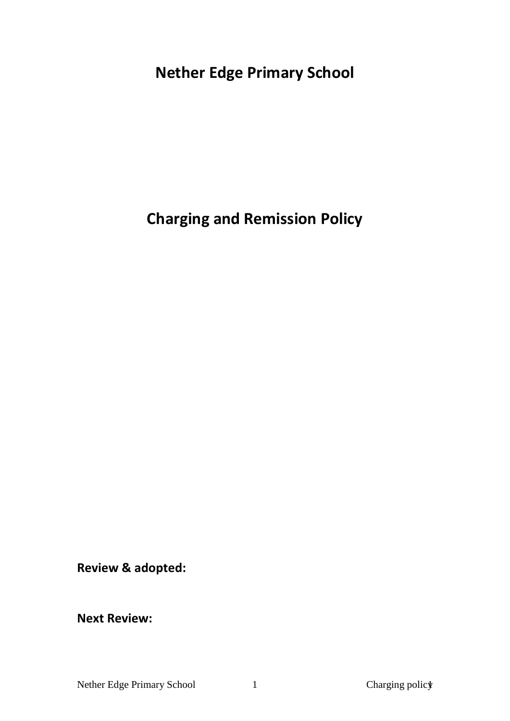# **Nether Edge Primary School**

# **Charging and Remission Policy**

**Review & adopted:** 

**Next Review:**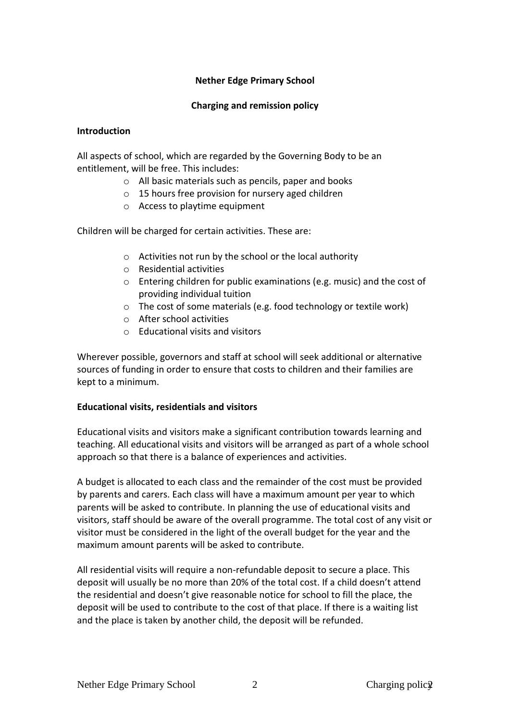## **Nether Edge Primary School**

#### **Charging and remission policy**

#### **Introduction**

All aspects of school, which are regarded by the Governing Body to be an entitlement, will be free. This includes:

- o All basic materials such as pencils, paper and books
- o 15 hours free provision for nursery aged children
- o Access to playtime equipment

Children will be charged for certain activities. These are:

- o Activities not run by the school or the local authority
- o Residential activities
- o Entering children for public examinations (e.g. music) and the cost of providing individual tuition
- o The cost of some materials (e.g. food technology or textile work)
- o After school activities
- o Educational visits and visitors

Wherever possible, governors and staff at school will seek additional or alternative sources of funding in order to ensure that costs to children and their families are kept to a minimum.

#### **Educational visits, residentials and visitors**

Educational visits and visitors make a significant contribution towards learning and teaching. All educational visits and visitors will be arranged as part of a whole school approach so that there is a balance of experiences and activities.

A budget is allocated to each class and the remainder of the cost must be provided by parents and carers. Each class will have a maximum amount per year to which parents will be asked to contribute. In planning the use of educational visits and visitors, staff should be aware of the overall programme. The total cost of any visit or visitor must be considered in the light of the overall budget for the year and the maximum amount parents will be asked to contribute.

All residential visits will require a non-refundable deposit to secure a place. This deposit will usually be no more than 20% of the total cost. If a child doesn't attend the residential and doesn't give reasonable notice for school to fill the place, the deposit will be used to contribute to the cost of that place. If there is a waiting list and the place is taken by another child, the deposit will be refunded.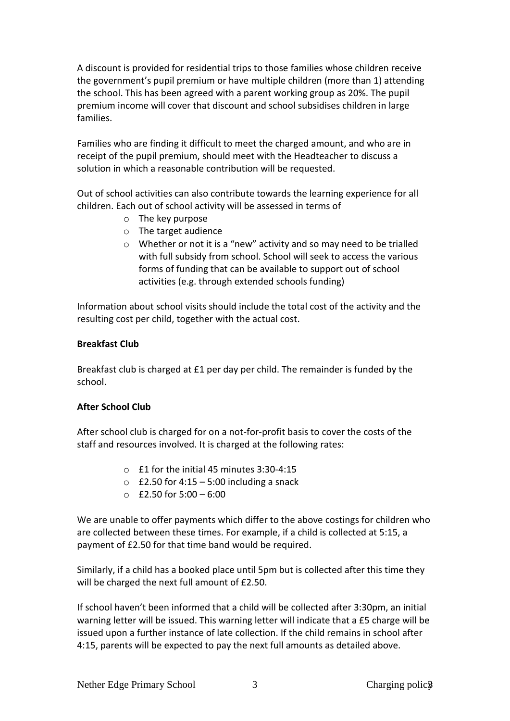A discount is provided for residential trips to those families whose children receive the government's pupil premium or have multiple children (more than 1) attending the school. This has been agreed with a parent working group as 20%. The pupil premium income will cover that discount and school subsidises children in large families.

Families who are finding it difficult to meet the charged amount, and who are in receipt of the pupil premium, should meet with the Headteacher to discuss a solution in which a reasonable contribution will be requested.

Out of school activities can also contribute towards the learning experience for all children. Each out of school activity will be assessed in terms of

- o The key purpose
- o The target audience
- o Whether or not it is a "new" activity and so may need to be trialled with full subsidy from school. School will seek to access the various forms of funding that can be available to support out of school activities (e.g. through extended schools funding)

Information about school visits should include the total cost of the activity and the resulting cost per child, together with the actual cost.

## **Breakfast Club**

Breakfast club is charged at £1 per day per child. The remainder is funded by the school.

## **After School Club**

After school club is charged for on a not-for-profit basis to cover the costs of the staff and resources involved. It is charged at the following rates:

- o £1 for the initial 45 minutes 3:30-4:15
- $\circ$  £2.50 for 4:15 5:00 including a snack
- $O$  £2.50 for 5:00 6:00

We are unable to offer payments which differ to the above costings for children who are collected between these times. For example, if a child is collected at 5:15, a payment of £2.50 for that time band would be required.

Similarly, if a child has a booked place until 5pm but is collected after this time they will be charged the next full amount of £2.50.

If school haven't been informed that a child will be collected after 3:30pm, an initial warning letter will be issued. This warning letter will indicate that a £5 charge will be issued upon a further instance of late collection. If the child remains in school after 4:15, parents will be expected to pay the next full amounts as detailed above.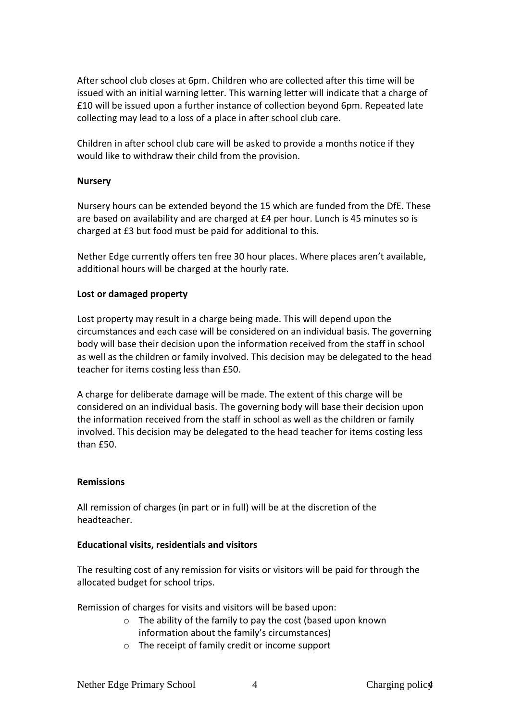After school club closes at 6pm. Children who are collected after this time will be issued with an initial warning letter. This warning letter will indicate that a charge of £10 will be issued upon a further instance of collection beyond 6pm. Repeated late collecting may lead to a loss of a place in after school club care.

Children in after school club care will be asked to provide a months notice if they would like to withdraw their child from the provision.

#### **Nursery**

Nursery hours can be extended beyond the 15 which are funded from the DfE. These are based on availability and are charged at £4 per hour. Lunch is 45 minutes so is charged at £3 but food must be paid for additional to this.

Nether Edge currently offers ten free 30 hour places. Where places aren't available, additional hours will be charged at the hourly rate.

### **Lost or damaged property**

Lost property may result in a charge being made. This will depend upon the circumstances and each case will be considered on an individual basis. The governing body will base their decision upon the information received from the staff in school as well as the children or family involved. This decision may be delegated to the head teacher for items costing less than £50.

A charge for deliberate damage will be made. The extent of this charge will be considered on an individual basis. The governing body will base their decision upon the information received from the staff in school as well as the children or family involved. This decision may be delegated to the head teacher for items costing less than £50.

#### **Remissions**

All remission of charges (in part or in full) will be at the discretion of the headteacher.

## **Educational visits, residentials and visitors**

The resulting cost of any remission for visits or visitors will be paid for through the allocated budget for school trips.

Remission of charges for visits and visitors will be based upon:

- o The ability of the family to pay the cost (based upon known information about the family's circumstances)
- o The receipt of family credit or income support